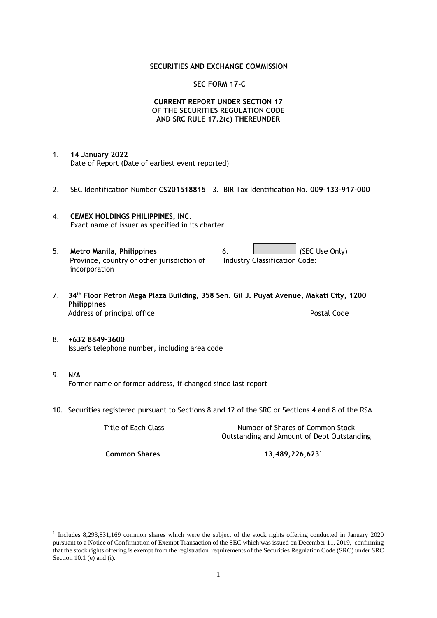### **SECURITIES AND EXCHANGE COMMISSION**

#### **SEC FORM 17-C**

## **CURRENT REPORT UNDER SECTION 17 OF THE SECURITIES REGULATION CODE AND SRC RULE 17.2(c) THEREUNDER**

- 1. **14 January 2022** Date of Report (Date of earliest event reported)
- 2. SEC Identification Number **CS201518815** 3. BIR Tax Identification No**. 009-133-917-000**
- 4. **CEMEX HOLDINGS PHILIPPINES, INC.** Exact name of issuer as specified in its charter
- 5. **Metro Manila, Philippines** 6. **Consumers 6.** (SEC Use Only) Province, country or other jurisdiction of incorporation Industry Classification Code:
- 7. **34th Floor Petron Mega Plaza Building, 358 Sen. Gil J. Puyat Avenue, Makati City, 1200 Philippines** Address of principal office **Postal Code** Postal Code
- 8. **+632 8849-3600** Issuer's telephone number, including area code
- 9. **N/A** Former name or former address, if changed since last report
- 10. Securities registered pursuant to Sections 8 and 12 of the SRC or Sections 4 and 8 of the RSA

Title of Each Class Number of Shares of Common Stock Outstanding and Amount of Debt Outstanding

**Common Shares 13,489,226,623<sup>1</sup>**

<sup>1</sup> Includes 8,293,831,169 common shares which were the subject of the stock rights offering conducted in January 2020 pursuant to a Notice of Confirmation of Exempt Transaction of the SEC which was issued on December 11, 2019, confirming that the stock rights offering is exempt from the registration requirements of the Securities Regulation Code (SRC) under SRC Section 10.1 (e) and (i).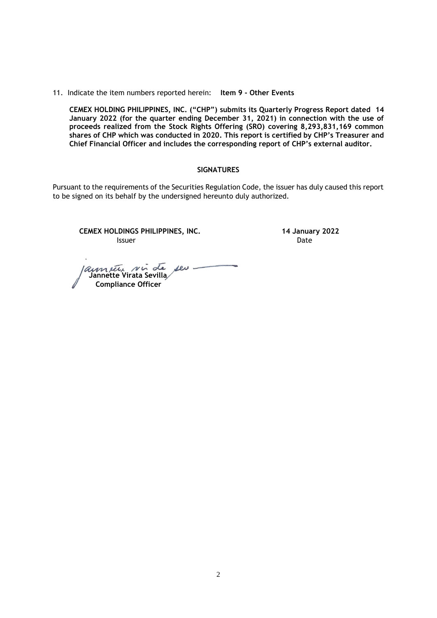#### 11. Indicate the item numbers reported herein: **Item 9 - Other Events**

**CEMEX HOLDING PHILIPPINES, INC. ("CHP") submits its Quarterly Progress Report dated 14 January 2022 (for the quarter ending December 31, 2021) in connection with the use of proceeds realized from the Stock Rights Offering (SRO) covering 8,293,831,169 common shares of CHP which was conducted in 2020. This report is certified by CHP's Treasurer and Chief Financial Officer and includes the corresponding report of CHP's external auditor.** 

#### **SIGNATURES**

Pursuant to the requirements of the Securities Regulation Code, the issuer has duly caused this report to be signed on its behalf by the undersigned hereunto duly authorized.

**CEMEX HOLDINGS PHILIPPINES, INC. 14 January 2022 Issuer Date** 

 $\text{rev}$  - **Jannette Virata Sevilla Compliance Officer**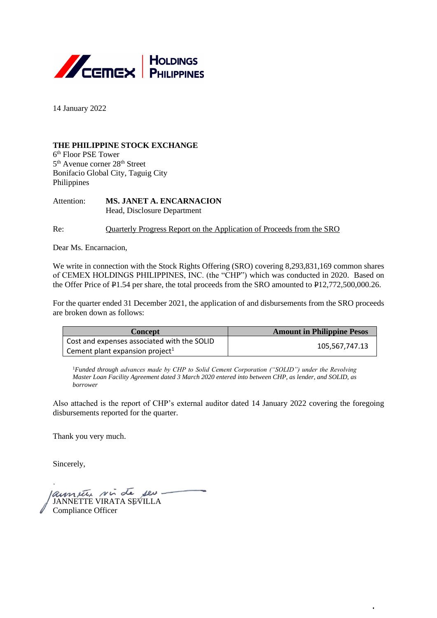

14 January 2022

## **THE PHILIPPINE STOCK EXCHANGE**

6 th Floor PSE Tower 5<sup>th</sup> Avenue corner 28<sup>th</sup> Street Bonifacio Global City, Taguig City Philippines

Attention: **MS. JANET A. ENCARNACION** Head, Disclosure Department

Re: Quarterly Progress Report on the Application of Proceeds from the SRO

Dear Ms. Encarnacion,

We write in connection with the Stock Rights Offering (SRO) covering 8,293,831,169 common shares of CEMEX HOLDINGS PHILIPPINES, INC. (the "CHP") which was conducted in 2020. Based on the Offer Price of P1.54 per share, the total proceeds from the SRO amounted to P12,772,500,000.26.

For the quarter ended 31 December 2021, the application of and disbursements from the SRO proceeds are broken down as follows:

| Concept                                     | <b>Amount in Philippine Pesos</b> |  |
|---------------------------------------------|-----------------------------------|--|
| Cost and expenses associated with the SOLID |                                   |  |
| Cement plant expansion project <sup>1</sup> | 105,567,747.13                    |  |

<sup>1</sup>Funded through advances made by CHP to Solid Cement Corporation ("SOLID") under the Revolving *Master Loan Facility Agreement dated 3 March 2020 entered into between CHP, as lender, and SOLID, as borrower*

Also attached is the report of CHP's external auditor dated 14 January 2022 covering the foregoing disbursements reported for the quarter.

Thank you very much.

Sincerely,

JANNETTE VIRATA SEVILLA Compliance Officer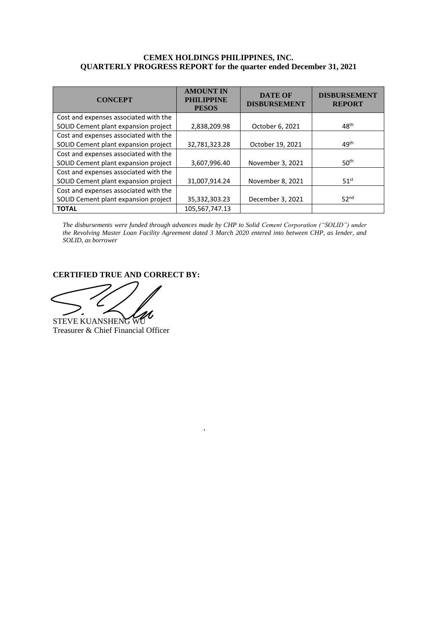## **CEMEX HOLDINGS PHILIPPINES, INC. QUARTERLY PROGRESS REPORT for the quarter ended December 31, 2021**

| <b>CONCEPT</b>                                       | <b>AMOUNT IN</b><br><b>PHILIPPINE</b><br><b>PESOS</b> | <b>DATE OF</b><br><b>DISBURSEMENT</b> | <b>DISBURSEMENT</b><br><b>REPORT</b> |  |
|------------------------------------------------------|-------------------------------------------------------|---------------------------------------|--------------------------------------|--|
| Cost and expenses associated with the                |                                                       |                                       |                                      |  |
| SOLID Cement plant expansion project<br>2,838,209.98 |                                                       | October 6, 2021                       | 48 <sup>th</sup>                     |  |
| Cost and expenses associated with the                |                                                       |                                       |                                      |  |
| SOLID Cement plant expansion project                 | 32,781,323.28                                         | October 19, 2021                      | 49 <sup>th</sup>                     |  |
| Cost and expenses associated with the                |                                                       |                                       |                                      |  |
| SOLID Cement plant expansion project                 | 3,607,996.40                                          | November 3, 2021                      | 50 <sup>th</sup>                     |  |
| Cost and expenses associated with the                |                                                       |                                       |                                      |  |
| SOLID Cement plant expansion project                 | 31,007,914.24                                         | November 8, 2021                      | 51 <sup>st</sup>                     |  |
| Cost and expenses associated with the                |                                                       |                                       |                                      |  |
| SOLID Cement plant expansion project                 | 35,332,303.23                                         | December 3, 2021                      | 52 <sup>nd</sup>                     |  |
| <b>TOTAL</b>                                         | 105,567,747.13                                        |                                       |                                      |  |

*The disbursements were funded through advances made by CHP to Solid Cement Corporation ("SOLID") under the Revolving Master Loan Facility Agreement dated 3 March 2020 entered into between CHP, as lender, and SOLID, as borrower*

## **CERTIFIED TRUE AND CORRECT BY:**

STEVE KUANSHENG Treasurer & Chief Financial Officer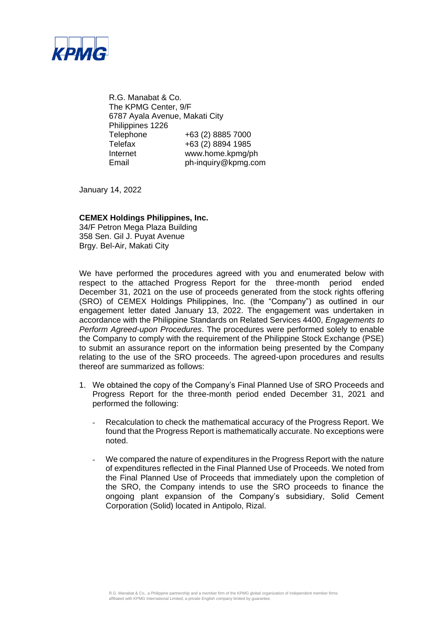

R.G. Manabat & Co. The KPMG Center, 9/F 6787 Ayala Avenue, Makati City Philippines 1226 Telephone +63 (2) 8885 7000 Telefax +63 (2) 8894 1985 Internet www.home.kpmg/ph Email ph-inquiry@kpmg.com

January 14, 2022

### **CEMEX Holdings Philippines, Inc.**

34/F Petron Mega Plaza Building 358 Sen. Gil J. Puyat Avenue Brgy. Bel-Air, Makati City

We have performed the procedures agreed with you and enumerated below with respect to the attached Progress Report for the three-month period ended December 31, 2021 on the use of proceeds generated from the stock rights offering (SRO) of CEMEX Holdings Philippines, Inc. (the "Company") as outlined in our engagement letter dated January 13, 2022. The engagement was undertaken in accordance with the Philippine Standards on Related Services 4400, *Engagements to Perform Agreed-upon Procedures*. The procedures were performed solely to enable the Company to comply with the requirement of the Philippine Stock Exchange (PSE) to submit an assurance report on the information being presented by the Company relating to the use of the SRO proceeds. The agreed-upon procedures and results thereof are summarized as follows:

- 1. We obtained the copy of the Company's Final Planned Use of SRO Proceeds and Progress Report for the three-month period ended December 31, 2021 and performed the following:
	- Recalculation to check the mathematical accuracy of the Progress Report. We found that the Progress Report is mathematically accurate. No exceptions were noted.
	- We compared the nature of expenditures in the Progress Report with the nature of expenditures reflected in the Final Planned Use of Proceeds. We noted from the Final Planned Use of Proceeds that immediately upon the completion of the SRO, the Company intends to use the SRO proceeds to finance the ongoing plant expansion of the Company's subsidiary, Solid Cement Corporation (Solid) located in Antipolo, Rizal.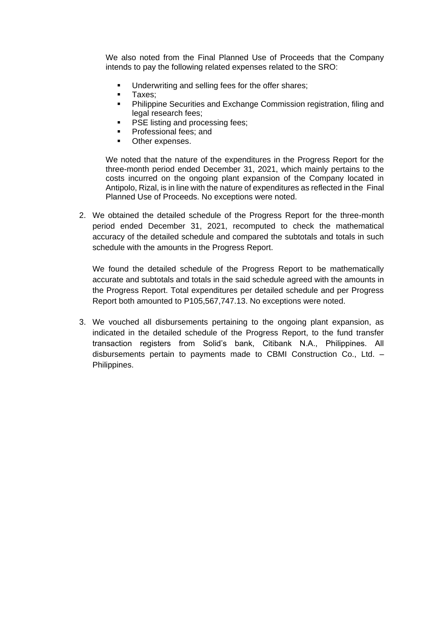We also noted from the Final Planned Use of Proceeds that the Company intends to pay the following related expenses related to the SRO:

- Underwriting and selling fees for the offer shares:
- Taxes;<br>■ Philinni
- Philippine Securities and Exchange Commission registration, filing and legal research fees;
- PSE listing and processing fees;
- Professional fees; and
- Other expenses.

We noted that the nature of the expenditures in the Progress Report for the three-month period ended December 31, 2021, which mainly pertains to the costs incurred on the ongoing plant expansion of the Company located in Antipolo, Rizal, is in line with the nature of expenditures as reflected in the Final Planned Use of Proceeds. No exceptions were noted.

2. We obtained the detailed schedule of the Progress Report for the three-month period ended December 31, 2021, recomputed to check the mathematical accuracy of the detailed schedule and compared the subtotals and totals in such schedule with the amounts in the Progress Report.

We found the detailed schedule of the Progress Report to be mathematically accurate and subtotals and totals in the said schedule agreed with the amounts in the Progress Report. Total expenditures per detailed schedule and per Progress Report both amounted to P105,567,747.13. No exceptions were noted.

3. We vouched all disbursements pertaining to the ongoing plant expansion, as indicated in the detailed schedule of the Progress Report, to the fund transfer transaction registers from Solid's bank, Citibank N.A., Philippines. All disbursements pertain to payments made to CBMI Construction Co., Ltd. – Philippines.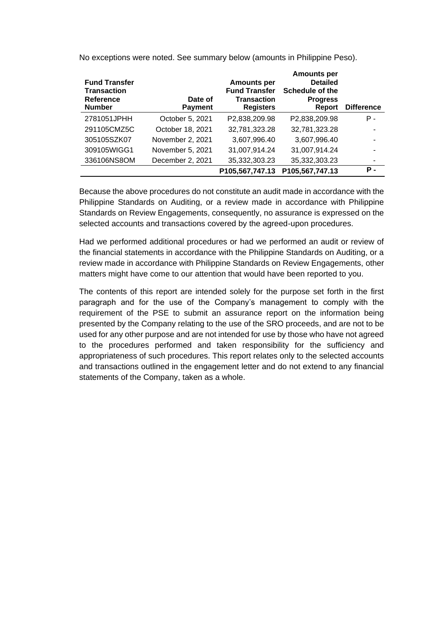| <b>Fund Transfer</b><br><b>Transaction</b><br>Reference<br><b>Number</b> | Date of<br><b>Payment</b> | <b>Amounts per</b><br><b>Fund Transfer</b><br><b>Transaction</b><br><b>Registers</b> | <b>Amounts per</b><br><b>Detailed</b><br><b>Schedule of the</b><br><b>Progress</b><br>Report | <b>Difference</b> |
|--------------------------------------------------------------------------|---------------------------|--------------------------------------------------------------------------------------|----------------------------------------------------------------------------------------------|-------------------|
| 2781051JPHH                                                              | October 5, 2021           | P2,838,209.98                                                                        | P2,838,209.98                                                                                | Р.                |
| 291105CMZ5C                                                              | October 18, 2021          | 32,781,323.28                                                                        | 32,781,323.28                                                                                |                   |
| 305105SZK07                                                              | November 2, 2021          | 3,607,996.40                                                                         | 3,607,996.40                                                                                 |                   |
| 309105WIGG1                                                              | November 5, 2021          | 31,007,914.24                                                                        | 31,007,914.24                                                                                |                   |
| 336106NS8OM                                                              | December 2, 2021          | 35,332,303.23                                                                        | 35,332,303.23                                                                                |                   |
|                                                                          |                           | P105,567,747.13                                                                      | P105,567,747.13                                                                              | Р.                |

No exceptions were noted. See summary below (amounts in Philippine Peso).

Because the above procedures do not constitute an audit made in accordance with the Philippine Standards on Auditing, or a review made in accordance with Philippine Standards on Review Engagements, consequently, no assurance is expressed on the selected accounts and transactions covered by the agreed-upon procedures.

Had we performed additional procedures or had we performed an audit or review of the financial statements in accordance with the Philippine Standards on Auditing, or a review made in accordance with Philippine Standards on Review Engagements, other matters might have come to our attention that would have been reported to you.

The contents of this report are intended solely for the purpose set forth in the first paragraph and for the use of the Company's management to comply with the requirement of the PSE to submit an assurance report on the information being presented by the Company relating to the use of the SRO proceeds, and are not to be used for any other purpose and are not intended for use by those who have not agreed to the procedures performed and taken responsibility for the sufficiency and appropriateness of such procedures. This report relates only to the selected accounts and transactions outlined in the engagement letter and do not extend to any financial statements of the Company, taken as a whole.